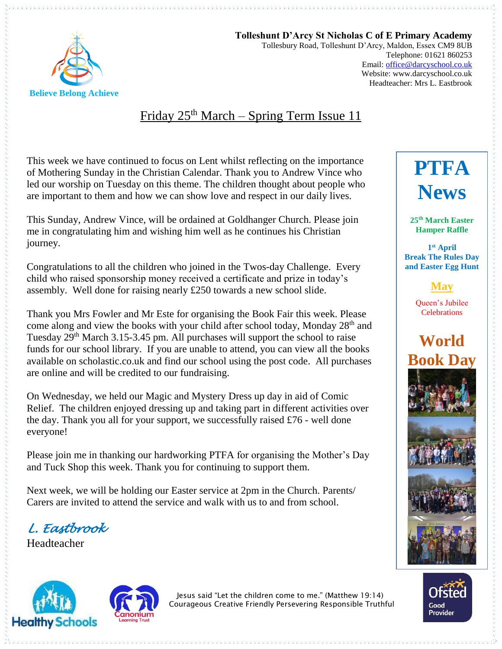

**Tolleshunt D'Arcy St Nicholas C of E Primary Academy** Tollesbury Road, Tolleshunt D'Arcy, Maldon, Essex CM9 8UB Telephone: 01621 860253 Email[: office@darcyschool.co.uk](mailto:office@darcyschool.co.uk) Website: www.darcyschool.co.uk Headteacher: Mrs L. Eastbrook

# Friday  $25<sup>th</sup> March - Spring Term Issue 11$

This week we have continued to focus on Lent whilst reflecting on the importance of Mothering Sunday in the Christian Calendar. Thank you to Andrew Vince who led our worship on Tuesday on this theme. The children thought about people who are important to them and how we can show love and respect in our daily lives.

This Sunday, Andrew Vince, will be ordained at Goldhanger Church. Please join me in congratulating him and wishing him well as he continues his Christian journey.

Congratulations to all the children who joined in the Twos-day Challenge. Every child who raised sponsorship money received a certificate and prize in today's assembly. Well done for raising nearly £250 towards a new school slide.

Thank you Mrs Fowler and Mr Este for organising the Book Fair this week. Please come along and view the books with your child after school today, Monday  $28<sup>th</sup>$  and Tuesday 29<sup>th</sup> March 3.15-3.45 pm. All purchases will support the school to raise funds for our school library. If you are unable to attend, you can view all the books available on scholastic.co.uk and find our school using the post code. All purchases are online and will be credited to our fundraising.

On Wednesday, we held our Magic and Mystery Dress up day in aid of Comic Relief. The children enjoyed dressing up and taking part in different activities over the day. Thank you all for your support, we successfully raised  $£76$  - well done everyone!

Please join me in thanking our hardworking PTFA for organising the Mother's Day and Tuck Shop this week. Thank you for continuing to support them.

Next week, we will be holding our Easter service at 2pm in the Church. Parents/ Carers are invited to attend the service and walk with us to and from school.

*L. Eastbrook* 

Headteacher





Jesus said "Let the children come to me." (Matthew 19:14) Courageous Creative Friendly Persevering Responsible Truthful

# **PTFA News**

**25th March Easter Hamper Raffle**

**1 st April Break The Rules Day and Easter Egg Hunt**

**May**

Queen's Jubilee **Celebrations**